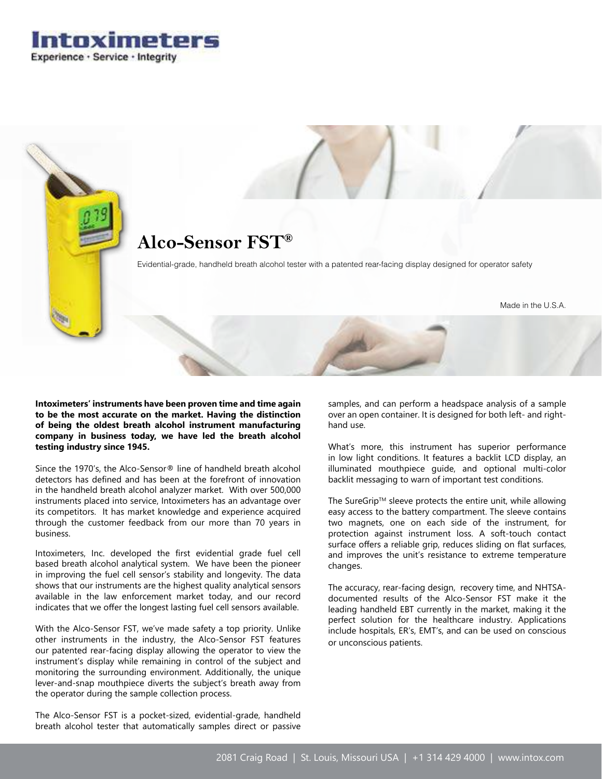Intoximeters Experience · Service · Integrity



**Intoximeters' instruments have been proven time and time again to be the most accurate on the market. Having the distinction of being the oldest breath alcohol instrument manufacturing company in business today, we have led the breath alcohol testing industry since 1945.**

Since the 1970's, the Alco-Sensor® line of handheld breath alcohol detectors has defined and has been at the forefront of innovation in the handheld breath alcohol analyzer market. With over 500,000 instruments placed into service, Intoximeters has an advantage over its competitors. It has market knowledge and experience acquired through the customer feedback from our more than 70 years in business.

Intoximeters, Inc. developed the first evidential grade fuel cell based breath alcohol analytical system. We have been the pioneer in improving the fuel cell sensor's stability and longevity. The data shows that our instruments are the highest quality analytical sensors available in the law enforcement market today, and our record indicates that we offer the longest lasting fuel cell sensors available.

With the Alco-Sensor FST, we've made safety a top priority. Unlike other instruments in the industry, the Alco-Sensor FST features our patented rear-facing display allowing the operator to view the instrument's display while remaining in control of the subject and monitoring the surrounding environment. Additionally, the unique lever-and-snap mouthpiece diverts the subject's breath away from the operator during the sample collection process.

The Alco-Sensor FST is a pocket-sized, evidential-grade, handheld breath alcohol tester that automatically samples direct or passive samples, and can perform a headspace analysis of a sample over an open container. It is designed for both left- and righthand use.

What's more, this instrument has superior performance in low light conditions. It features a backlit LCD display, an illuminated mouthpiece guide, and optional multi-color backlit messaging to warn of important test conditions.

The SureGrip™ sleeve protects the entire unit, while allowing easy access to the battery compartment. The sleeve contains two magnets, one on each side of the instrument, for protection against instrument loss. A soft-touch contact surface offers a reliable grip, reduces sliding on flat surfaces, and improves the unit's resistance to extreme temperature changes.

The accuracy, rear-facing design, recovery time, and NHTSAdocumented results of the Alco-Sensor FST make it the leading handheld EBT currently in the market, making it the perfect solution for the healthcare industry. Applications include hospitals, ER's, EMT's, and can be used on conscious or unconscious patients.